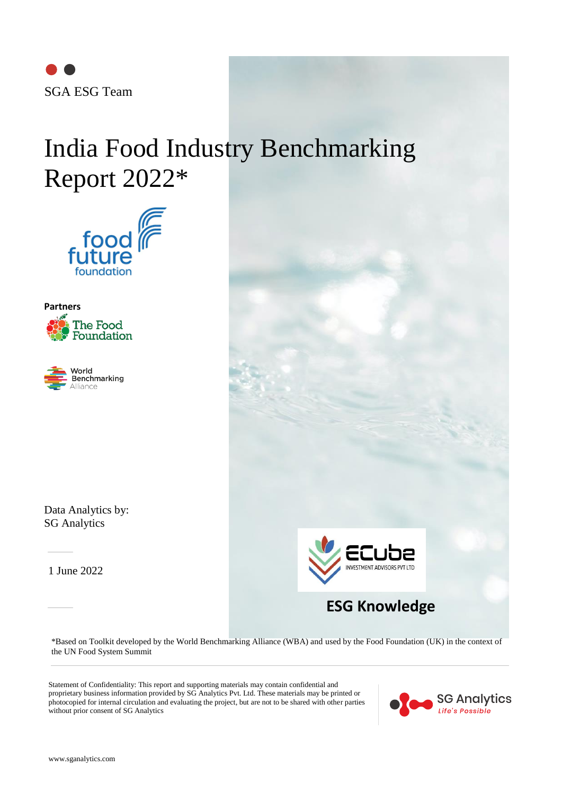

# India Food Industry Benchmarking Report 2022\*







Data Analytics by: SG Analytics

1 June 2022



\*Based on Toolkit developed by the World Benchmarking Alliance (WBA) and used by the Food Foundation (UK) in the context of the UN Food System Summit

Statement of Confidentiality: This report and supporting materials may contain confidential and proprietary business information provided by SG Analytics Pvt. Ltd. These materials may be printed or photocopied for internal circulation and evaluating the project, but are not to be shared with other parties without prior consent of SG Analytics

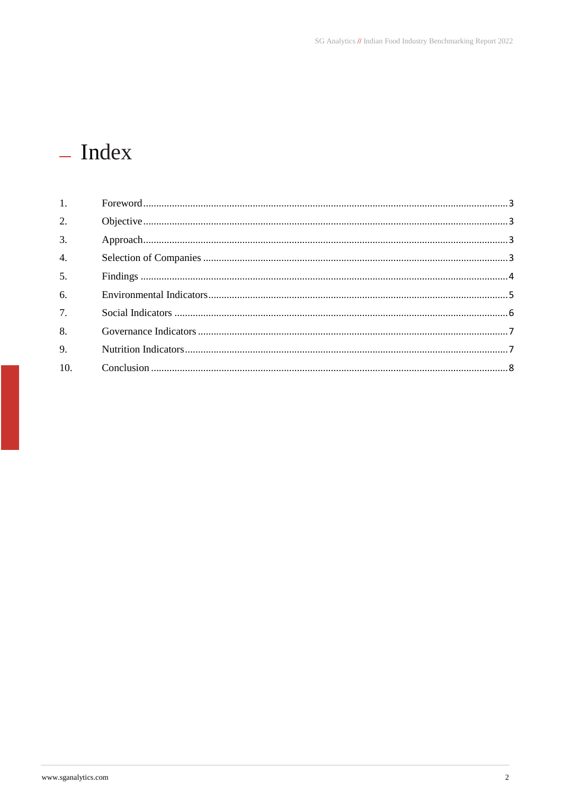# - Index

| 2.  |  |
|-----|--|
| 3.  |  |
| 4.  |  |
| 5.  |  |
| 6.  |  |
| 7.  |  |
| 8.  |  |
| 9.  |  |
| 10. |  |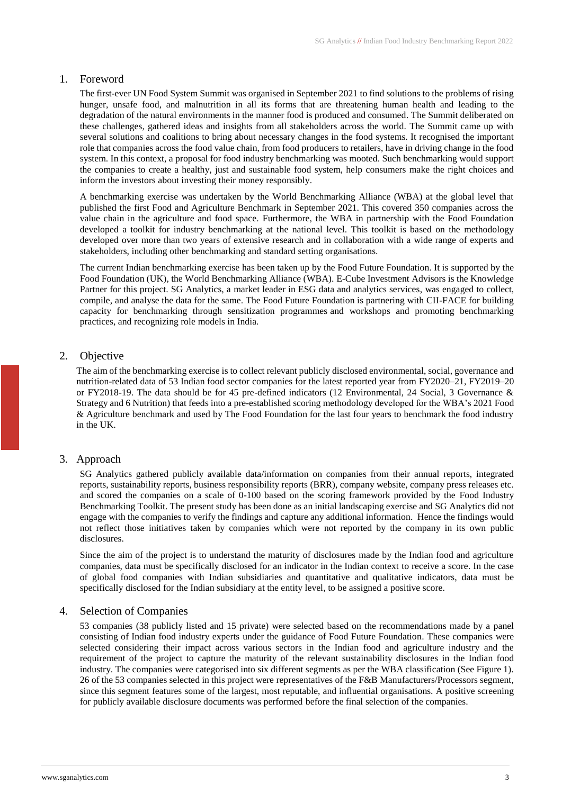#### <span id="page-2-0"></span>1. Foreword

The first-ever UN Food System Summit was organised in September 2021 to find solutions to the problems of rising hunger, unsafe food, and malnutrition in all its forms that are threatening human health and leading to the degradation of the natural environments in the manner food is produced and consumed. The Summit deliberated on these challenges, gathered ideas and insights from all stakeholders across the world. The Summit came up with several solutions and coalitions to bring about necessary changes in the food systems. It recognised the important role that companies across the food value chain, from food producers to retailers, have in driving change in the food system. In this context, a proposal for food industry benchmarking was mooted. Such benchmarking would support the companies to create a healthy, just and sustainable food system, help consumers make the right choices and inform the investors about investing their money responsibly.

A benchmarking exercise was undertaken by the World Benchmarking Alliance (WBA) at the global level that published the first Food and Agriculture Benchmark in September 2021. This covered 350 companies across the value chain in the agriculture and food space. Furthermore, the WBA in partnership with the Food Foundation developed a toolkit for industry benchmarking at the national level. This toolkit is based on the methodology developed over more than two years of extensive research and in collaboration with a wide range of experts and stakeholders, including other benchmarking and standard setting organisations.

The current Indian benchmarking exercise has been taken up by the Food Future Foundation. It is supported by the Food Foundation (UK), the World Benchmarking Alliance (WBA). E-Cube Investment Advisors is the Knowledge Partner for this project. SG Analytics, a market leader in ESG data and analytics services, was engaged to collect, compile, and analyse the data for the same. The Food Future Foundation is partnering with CII-FACE for building capacity for benchmarking through sensitization programmes and workshops and promoting benchmarking practices, and recognizing role models in India.

# <span id="page-2-1"></span>2. Objective

The aim of the benchmarking exercise is to collect relevant publicly disclosed environmental, social, governance and nutrition-related data of 53 Indian food sector companies for the latest reported year from FY2020–21, FY2019–20 or FY2018-19. The data should be for 45 pre-defined indicators (12 Environmental, 24 Social, 3 Governance & Strategy and 6 Nutrition) that feeds into a pre-established scoring methodology developed for the WBA's 2021 Food & Agriculture benchmark and used by The Food Foundation for the last four years to benchmark the food industry in the UK.

# <span id="page-2-2"></span>3. Approach

SG Analytics gathered publicly available data/information on companies from their annual reports, integrated reports, sustainability reports, business responsibility reports (BRR), company website, company press releases etc. and scored the companies on a scale of 0-100 based on the scoring framework provided by the [Food Industry](https://foodfoundation.org.uk/publication/food-industry-benchmarking-toolkit)  [Benchmarking Toolkit.](https://foodfoundation.org.uk/publication/food-industry-benchmarking-toolkit) The present study has been done as an initial landscaping exercise and SG Analytics did not engage with the companies to verify the findings and capture any additional information. Hence the findings would not reflect those initiatives taken by companies which were not reported by the company in its own public disclosures.

Since the aim of the project is to understand the maturity of disclosures made by the Indian food and agriculture companies, data must be specifically disclosed for an indicator in the Indian context to receive a score. In the case of global food companies with Indian subsidiaries and quantitative and qualitative indicators, data must be specifically disclosed for the Indian subsidiary at the entity level, to be assigned a positive score.

#### <span id="page-2-3"></span>4. Selection of Companies

53 companies (38 publicly listed and 15 private) were selected based on the recommendations made by a panel consisting of Indian food industry experts under the guidance of Food Future Foundation. These companies were selected considering their impact across various sectors in the Indian food and agriculture industry and the requirement of the project to capture the maturity of the relevant sustainability disclosures in the Indian food industry. The companies were categorised into six different segments as per the WBA classification (See Figure 1). 26 of the 53 companies selected in this project were representatives of the F&B Manufacturers/Processors segment, since this segment features some of the largest, most reputable, and influential organisations. A positive screening for publicly available disclosure documents was performed before the final selection of the companies.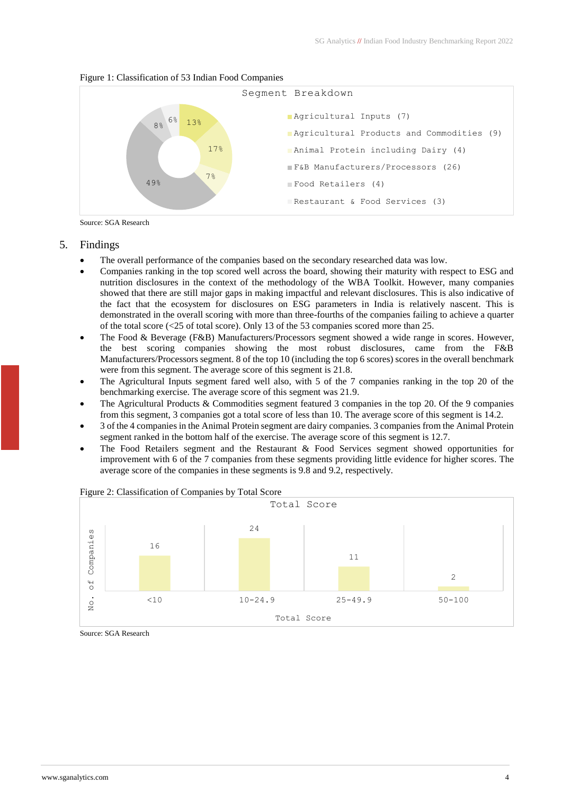

#### Figure 1: Classification of 53 Indian Food Companies

Source: SGA Research

#### <span id="page-3-0"></span>5. Findings

- The overall performance of the companies based on the secondary researched data was low.
- Companies ranking in the top scored well across the board, showing their maturity with respect to ESG and nutrition disclosures in the context of the methodology of the WBA Toolkit. However, many companies showed that there are still major gaps in making impactful and relevant disclosures. This is also indicative of the fact that the ecosystem for disclosures on ESG parameters in India is relatively nascent. This is demonstrated in the overall scoring with more than three-fourths of the companies failing to achieve a quarter of the total score ( $\lt 25$  of total score). Only 13 of the 53 companies scored more than 25.
- The Food & Beverage (F&B) Manufacturers/Processors segment showed a wide range in scores. However, the best scoring companies showing the most robust disclosures, came from the F&B Manufacturers/Processors segment. 8 of the top 10 (including the top 6 scores) scores in the overall benchmark were from this segment. The average score of this segment is 21.8.
- The Agricultural Inputs segment fared well also, with 5 of the 7 companies ranking in the top 20 of the benchmarking exercise. The average score of this segment was 21.9.
- The Agricultural Products & Commodities segment featured 3 companies in the top 20. Of the 9 companies from this segment, 3 companies got a total score of less than 10. The average score of this segment is 14.2.
- 3 of the 4 companies in the Animal Protein segment are dairy companies. 3 companies from the Animal Protein segment ranked in the bottom half of the exercise. The average score of this segment is 12.7.
- The Food Retailers segment and the Restaurant & Food Services segment showed opportunities for improvement with 6 of the 7 companies from these segments providing little evidence for higher scores. The average score of the companies in these segments is 9.8 and 9.2, respectively.



#### Figure 2: Classification of Companies by Total Score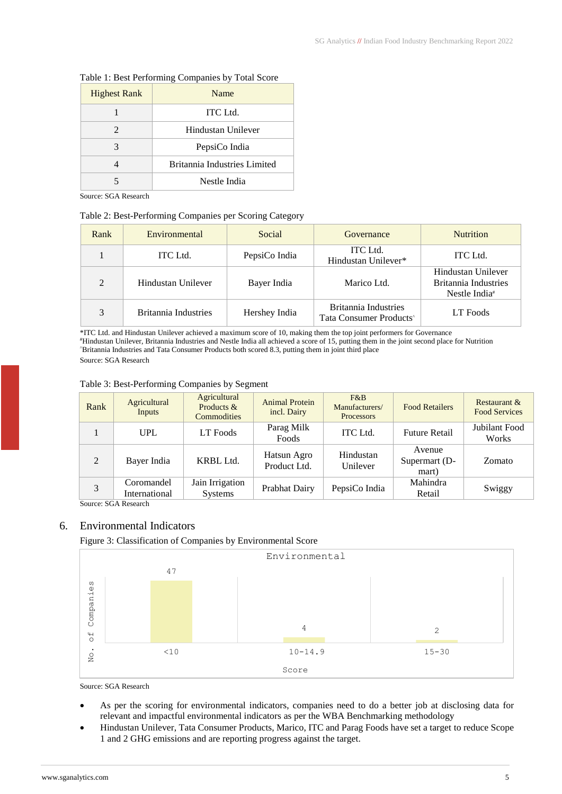| <b>Highest Rank</b> | Name                         |  |  |
|---------------------|------------------------------|--|--|
|                     | ITC Ltd.                     |  |  |
| 2                   | Hindustan Unilever           |  |  |
| 3                   | PepsiCo India                |  |  |
|                     | Britannia Industries Limited |  |  |
|                     | Nestle India                 |  |  |

#### Table 1: Best Performing Companies by Total Score

Source: SGA Research

#### Table 2: Best-Performing Companies per Scoring Category

| Rank    | Environmental        | Social        | Governance                                                         | <b>Nutrition</b>                                                        |
|---------|----------------------|---------------|--------------------------------------------------------------------|-------------------------------------------------------------------------|
|         | <b>ITC</b> Ltd.      | PepsiCo India | ITC Ltd.<br>Hindustan Unilever*                                    | ITC Ltd.                                                                |
| $2^{1}$ | Hindustan Unilever   | Bayer India   | Marico Ltd.                                                        | Hindustan Unilever<br>Britannia Industries<br>Nestle India <sup>#</sup> |
| 3       | Britannia Industries | Hershey India | <b>Britannia Industries</b><br>Tata Consumer Products <sup>*</sup> | LT Foods                                                                |

\*ITC Ltd. and Hindustan Unilever achieved a maximum score of 10, making them the top joint performers for Governance #Hindustan Unilever, Britannia Industries and Nestle India all achieved a score of 15, putting them in the joint second place for Nutrition ^Britannia Industries and Tata Consumer Products both scored 8.3, putting them in joint third place Source: SGA Research

| Rank | Agricultural<br>Inputs              | Agricultural<br>Products &<br><b>Commodities</b> | <b>Animal Protein</b><br>incl. Dairy | $F\&B$<br>Manufacturers/<br><b>Processors</b> | <b>Food Retailers</b>            | Restaurant &<br><b>Food Services</b> |
|------|-------------------------------------|--------------------------------------------------|--------------------------------------|-----------------------------------------------|----------------------------------|--------------------------------------|
|      | <b>UPL</b>                          | LT Foods                                         | Parag Milk<br>Foods                  | <b>ITC</b> Ltd.                               | <b>Future Retail</b>             | Jubilant Food<br>Works               |
| 2    | Bayer India                         | KRBL Ltd.                                        | Hatsun Agro<br>Product Ltd.          | Hindustan<br>Unilever                         | Avenue<br>Supermart (D-<br>mart) | Zomato                               |
|      | Coromandel<br>International<br>---- | Jain Irrigation<br><b>Systems</b>                | Prabhat Dairy                        | PepsiCo India                                 | Mahindra<br>Retail               | Swiggy                               |

Source: SGA Research

# <span id="page-4-0"></span>6. Environmental Indicators

# Figure 3: Classification of Companies by Environmental Score



- As per the scoring for environmental indicators, companies need to do a better job at disclosing data for relevant and impactful environmental indicators as per the WBA Benchmarking methodology
- Hindustan Unilever, Tata Consumer Products, Marico, ITC and Parag Foods have set a target to reduce Scope 1 and 2 GHG emissions and are reporting progress against the target.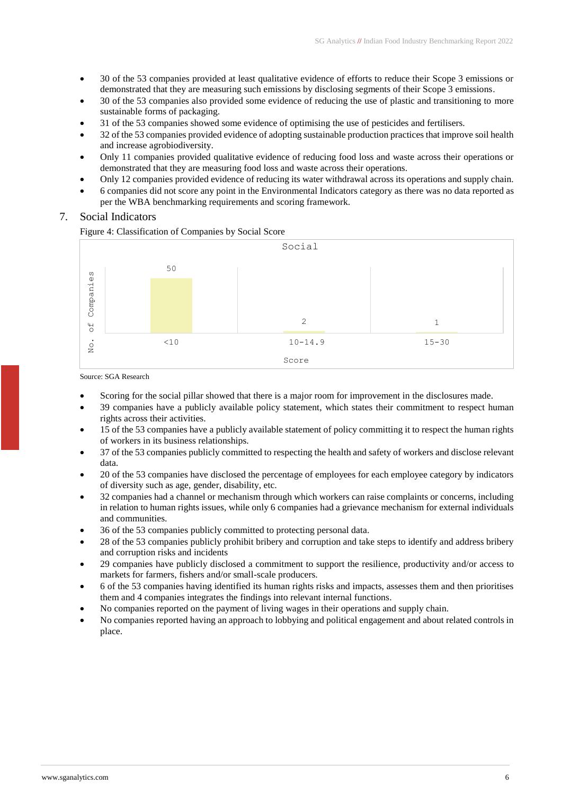- 30 of the 53 companies provided at least qualitative evidence of efforts to reduce their Scope 3 emissions or demonstrated that they are measuring such emissions by disclosing segments of their Scope 3 emissions.
- 30 of the 53 companies also provided some evidence of reducing the use of plastic and transitioning to more sustainable forms of packaging.
- 31 of the 53 companies showed some evidence of optimising the use of pesticides and fertilisers.
- 32 of the 53 companies provided evidence of adopting sustainable production practices that improve soil health and increase agrobiodiversity.
- Only 11 companies provided qualitative evidence of reducing food loss and waste across their operations or demonstrated that they are measuring food loss and waste across their operations.
- Only 12 companies provided evidence of reducing its water withdrawal across its operations and supply chain.
- 6 companies did not score any point in the Environmental Indicators category as there was no data reported as per the WBA benchmarking requirements and scoring framework.
- <span id="page-5-0"></span>7. Social Indicators

#### Figure 4: Classification of Companies by Social Score



- Scoring for the social pillar showed that there is a major room for improvement in the disclosures made.
- 39 companies have a publicly available policy statement, which states their commitment to respect human rights across their activities.
- 15 of the 53 companies have a publicly available statement of policy committing it to respect the human rights of workers in its business relationships.
- 37 of the 53 companies publicly committed to respecting the health and safety of workers and disclose relevant data.
- 20 of the 53 companies have disclosed the percentage of employees for each employee category by indicators of diversity such as age, gender, disability, etc.
- 32 companies had a channel or mechanism through which workers can raise complaints or concerns, including in relation to human rights issues, while only 6 companies had a grievance mechanism for external individuals and communities.
- 36 of the 53 companies publicly committed to protecting personal data.
- 28 of the 53 companies publicly prohibit bribery and corruption and take steps to identify and address bribery and corruption risks and incidents
- 29 companies have publicly disclosed a commitment to support the resilience, productivity and/or access to markets for farmers, fishers and/or small-scale producers.
- 6 of the 53 companies having identified its human rights risks and impacts, assesses them and then prioritises them and 4 companies integrates the findings into relevant internal functions.
- No companies reported on the payment of living wages in their operations and supply chain.
- No companies reported having an approach to lobbying and political engagement and about related controls in place.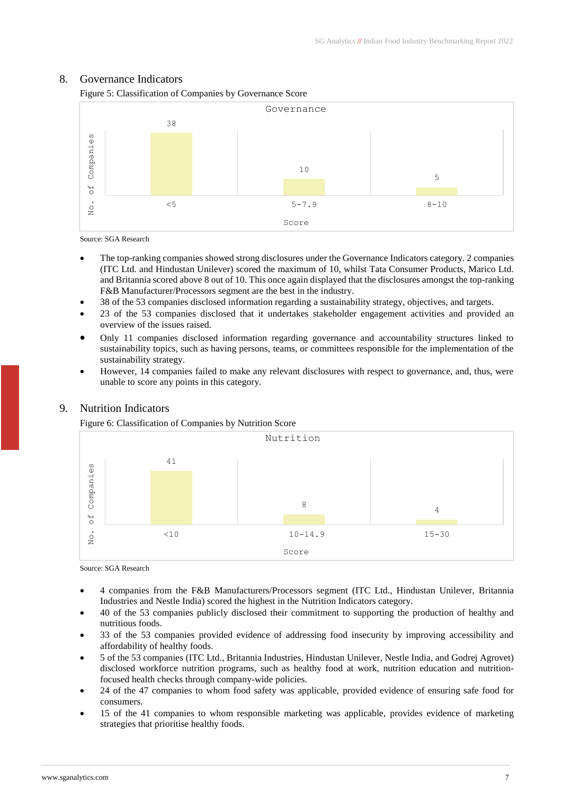# <span id="page-6-0"></span>8. Governance Indicators

Figure 5: Classification of Companies by Governance Score



Source: SGA Research

- The top-ranking companies showed strong disclosures under the Governance Indicators category. 2 companies (ITC Ltd. and Hindustan Unilever) scored the maximum of 10, whilst Tata Consumer Products, Marico Ltd. and Britannia scored above 8 out of 10. This once again displayed that the disclosures amongst the top-ranking F&B Manufacturer/Processors segment are the best in the industry.
- 38 of the 53 companies disclosed information regarding a sustainability strategy, objectives, and targets.
- 23 of the 53 companies disclosed that it undertakes stakeholder engagement activities and provided an overview of the issues raised.
- Only 11 companies disclosed information regarding governance and accountability structures linked to sustainability topics, such as having persons, teams, or committees responsible for the implementation of the sustainability strategy.
- However, 14 companies failed to make any relevant disclosures with respect to governance, and, thus, were unable to score any points in this category.



# <span id="page-6-1"></span>9. Nutrition Indicators

Figure 6: Classification of Companies by Nutrition Score

- 4 companies from the F&B Manufacturers/Processors segment (ITC Ltd., Hindustan Unilever, Britannia Industries and Nestle India) scored the highest in the Nutrition Indicators category.
- 40 of the 53 companies publicly disclosed their commitment to supporting the production of healthy and nutritious foods.
- 33 of the 53 companies provided evidence of addressing food insecurity by improving accessibility and affordability of healthy foods.
- 5 of the 53 companies (ITC Ltd., Britannia Industries, Hindustan Unilever, Nestle India, and Godrej Agrovet) disclosed workforce nutrition programs, such as healthy food at work, nutrition education and nutritionfocused health checks through company-wide policies.
- 24 of the 47 companies to whom food safety was applicable, provided evidence of ensuring safe food for consumers.
- 15 of the 41 companies to whom responsible marketing was applicable, provides evidence of marketing strategies that prioritise healthy foods.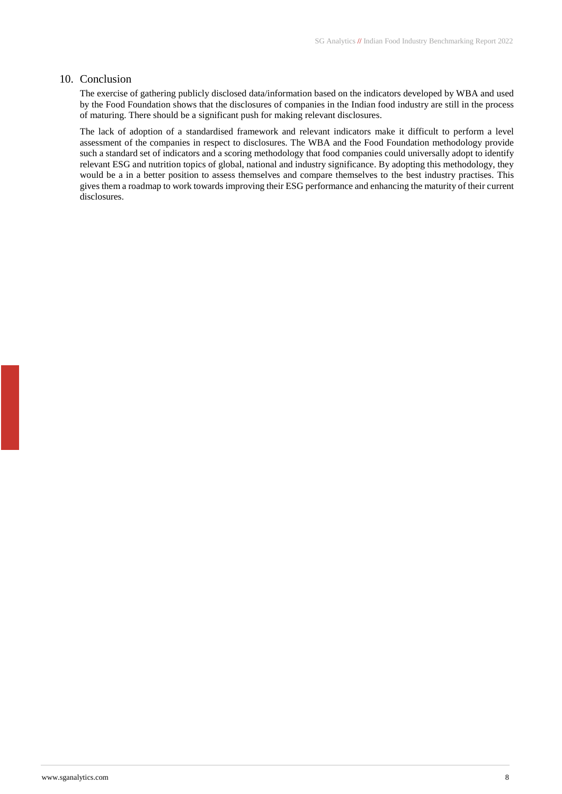#### <span id="page-7-0"></span>10. Conclusion

The exercise of gathering publicly disclosed data/information based on the indicators developed by WBA and used by the Food Foundation shows that the disclosures of companies in the Indian food industry are still in the process of maturing. There should be a significant push for making relevant disclosures.

The lack of adoption of a standardised framework and relevant indicators make it difficult to perform a level assessment of the companies in respect to disclosures. The WBA and the Food Foundation methodology provide such a standard set of indicators and a scoring methodology that food companies could universally adopt to identify relevant ESG and nutrition topics of global, national and industry significance. By adopting this methodology, they would be a in a better position to assess themselves and compare themselves to the best industry practises. This gives them a roadmap to work towards improving their ESG performance and enhancing the maturity of their current disclosures.